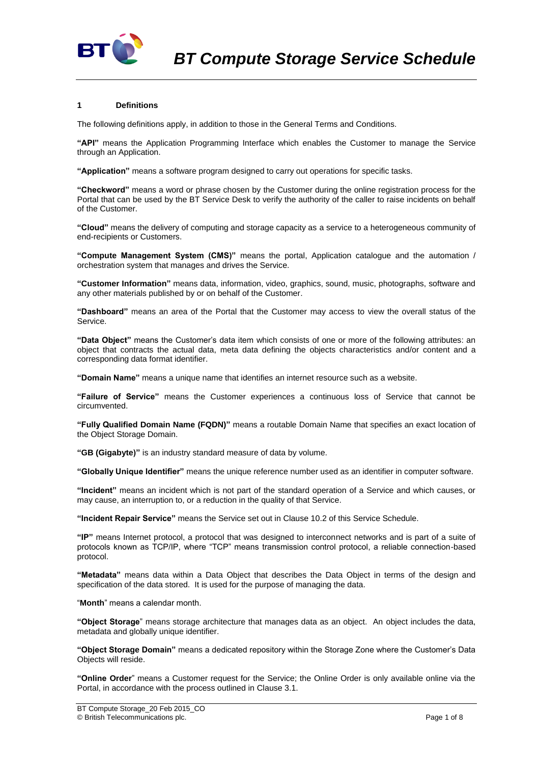

# **1 Definitions**

The following definitions apply, in addition to those in the General Terms and Conditions.

**"API"** means the Application Programming Interface which enables the Customer to manage the Service through an Application.

**"Application"** means a software program designed to carry out operations for specific tasks.

**"Checkword"** means a word or phrase chosen by the Customer during the online registration process for the Portal that can be used by the BT Service Desk to verify the authority of the caller to raise incidents on behalf of the Customer.

**"Cloud"** means the delivery of computing and storage capacity as a service to a heterogeneous community of end-recipients or Customers.

**"Compute Management System (CMS)"** means the portal, Application catalogue and the automation / orchestration system that manages and drives the Service.

**"Customer Information"** means data, information, video, graphics, sound, music, photographs, software and any other materials published by or on behalf of the Customer.

**"Dashboard"** means an area of the Portal that the Customer may access to view the overall status of the Service.

**"Data Object"** means the Customer's data item which consists of one or more of the following attributes: an object that contracts the actual data, meta data defining the objects characteristics and/or content and a corresponding data format identifier.

**"Domain Name"** means a unique name that identifies an internet resource such as a website.

**"Failure of Service"** means the Customer experiences a continuous loss of Service that cannot be circumvented.

**"Fully Qualified Domain Name (FQDN)"** means a routable Domain Name that specifies an exact location of the Object Storage Domain.

**"GB (Gigabyte)"** is an industry standard measure of data by volume.

**"Globally Unique Identifier"** means the unique reference number used as an identifier in computer software.

**"Incident"** means an incident which is not part of the standard operation of a Service and which causes, or may cause, an interruption to, or a reduction in the quality of that Service.

**"Incident Repair Service"** means the Service set out in Clause [10.2](#page-3-0) of this Service Schedule.

**"IP"** means Internet protocol, a protocol that was designed to interconnect networks and is part of a suite of protocols known as TCP/IP, where "TCP" means transmission control protocol, a reliable connection-based protocol.

**"Metadata"** means data within a Data Object that describes the Data Object in terms of the design and specification of the data stored. It is used for the purpose of managing the data.

"**Month**" means a calendar month.

**"Object Storage**" means storage architecture that manages data as an object. An object includes the data, metadata and globally unique identifier.

**"Object Storage Domain"** means a dedicated repository within the Storage Zone where the Customer's Data Objects will reside.

**"Online Order**" means a Customer request for the Service; the Online Order is only available online via the Portal, in accordance with the process outlined in Claus[e 3.1.](#page-1-0)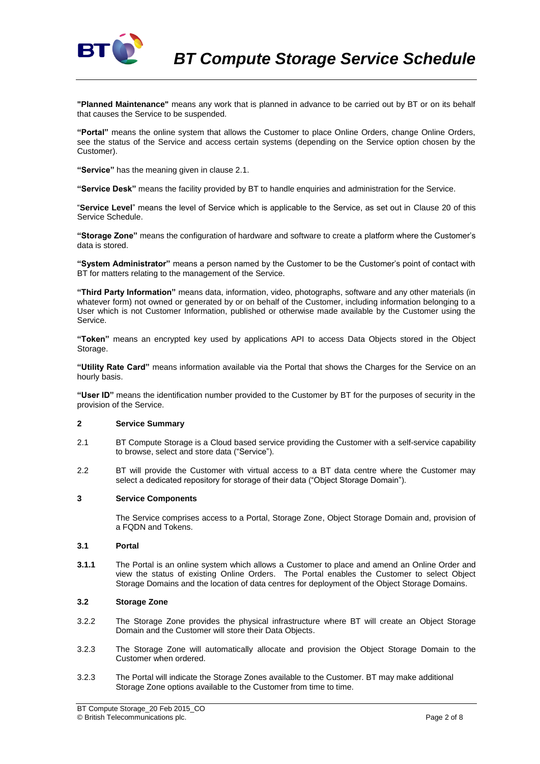

**"Planned Maintenance"** means any work that is planned in advance to be carried out by BT or on its behalf that causes the Service to be suspended.

**"Portal"** means the online system that allows the Customer to place Online Orders, change Online Orders, see the status of the Service and access certain systems (depending on the Service option chosen by the Customer).

**"Service"** has the meaning given in clause 2.1.

**"Service Desk"** means the facility provided by BT to handle enquiries and administration for the Service.

"**Service Level**" means the level of Service which is applicable to the Service, as set out in Clause 20 of this Service Schedule.

**"Storage Zone"** means the configuration of hardware and software to create a platform where the Customer's data is stored.

**"System Administrator"** means a person named by the Customer to be the Customer's point of contact with BT for matters relating to the management of the Service.

**"Third Party Information"** means data, information, video, photographs, software and any other materials (in whatever form) not owned or generated by or on behalf of the Customer, including information belonging to a User which is not Customer Information, published or otherwise made available by the Customer using the Service.

**"Token"** means an encrypted key used by applications API to access Data Objects stored in the Object Storage.

**"Utility Rate Card"** means information available via the Portal that shows the Charges for the Service on an hourly basis.

**"User ID"** means the identification number provided to the Customer by BT for the purposes of security in the provision of the Service.

# **2 Service Summary**

- 2.1 BT Compute Storage is a Cloud based service providing the Customer with a self-service capability to browse, select and store data ("Service").
- 2.2 BT will provide the Customer with virtual access to a BT data centre where the Customer may select a dedicated repository for storage of their data ("Object Storage Domain").

## **3 Service Components**

The Service comprises access to a Portal, Storage Zone, Object Storage Domain and, provision of a FQDN and Tokens.

## <span id="page-1-0"></span>**3.1 Portal**

**3.1.1** The Portal is an online system which allows a Customer to place and amend an Online Order and view the status of existing Online Orders. The Portal enables the Customer to select Object Storage Domains and the location of data centres for deployment of the Object Storage Domains.

# **3.2 Storage Zone**

- 3.2.2 The Storage Zone provides the physical infrastructure where BT will create an Object Storage Domain and the Customer will store their Data Objects.
- 3.2.3 The Storage Zone will automatically allocate and provision the Object Storage Domain to the Customer when ordered.
- 3.2.3 The Portal will indicate the Storage Zones available to the Customer. BT may make additional Storage Zone options available to the Customer from time to time.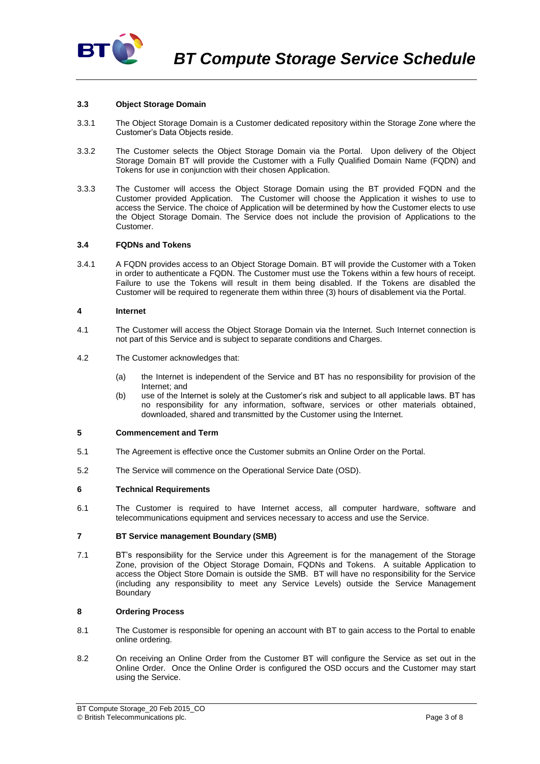

## **3.3 Object Storage Domain**

- 3.3.1 The Object Storage Domain is a Customer dedicated repository within the Storage Zone where the Customer's Data Objects reside.
- 3.3.2 The Customer selects the Object Storage Domain via the Portal. Upon delivery of the Object Storage Domain BT will provide the Customer with a Fully Qualified Domain Name (FQDN) and Tokens for use in conjunction with their chosen Application.
- 3.3.3 The Customer will access the Object Storage Domain using the BT provided FQDN and the Customer provided Application. The Customer will choose the Application it wishes to use to access the Service. The choice of Application will be determined by how the Customer elects to use the Object Storage Domain. The Service does not include the provision of Applications to the Customer.

## **3.4 FQDNs and Tokens**

3.4.1 A FQDN provides access to an Object Storage Domain. BT will provide the Customer with a Token in order to authenticate a FQDN. The Customer must use the Tokens within a few hours of receipt. Failure to use the Tokens will result in them being disabled. If the Tokens are disabled the Customer will be required to regenerate them within three (3) hours of disablement via the Portal.

## **4 Internet**

- 4.1 The Customer will access the Object Storage Domain via the Internet. Such Internet connection is not part of this Service and is subject to separate conditions and Charges.
- 4.2 The Customer acknowledges that:
	- (a) the Internet is independent of the Service and BT has no responsibility for provision of the Internet; and
	- (b) use of the Internet is solely at the Customer's risk and subject to all applicable laws. BT has no responsibility for any information, software, services or other materials obtained, downloaded, shared and transmitted by the Customer using the Internet.

## **5 Commencement and Term**

- 5.1 The Agreement is effective once the Customer submits an Online Order on the Portal.
- 5.2 The Service will commence on the Operational Service Date (OSD).

## **6 Technical Requirements**

6.1 The Customer is required to have Internet access, all computer hardware, software and telecommunications equipment and services necessary to access and use the Service.

## **7 BT Service management Boundary (SMB)**

7.1 BT's responsibility for the Service under this Agreement is for the management of the Storage Zone, provision of the Object Storage Domain, FQDNs and Tokens. A suitable Application to access the Object Store Domain is outside the SMB. BT will have no responsibility for the Service (including any responsibility to meet any Service Levels) outside the Service Management **Boundary** 

# **8 Ordering Process**

- 8.1 The Customer is responsible for opening an account with BT to gain access to the Portal to enable online ordering.
- 8.2 On receiving an Online Order from the Customer BT will configure the Service as set out in the Online Order. Once the Online Order is configured the OSD occurs and the Customer may start using the Service.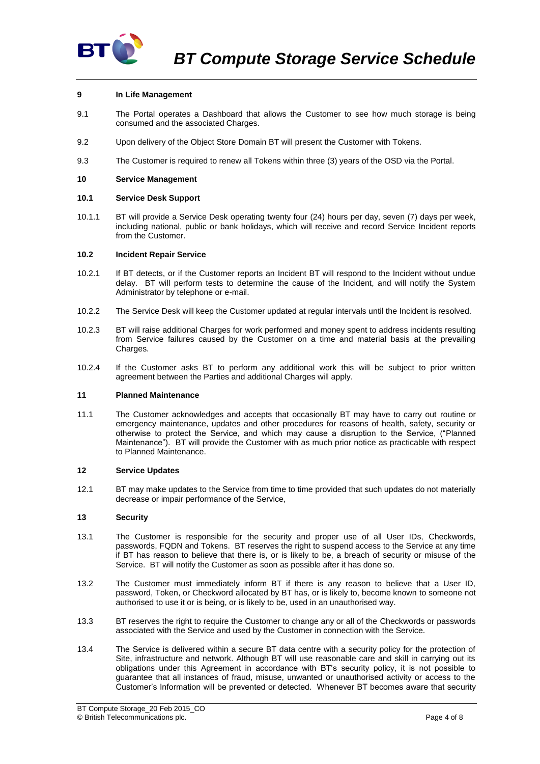

# **9 In Life Management**

- 9.1 The Portal operates a Dashboard that allows the Customer to see how much storage is being consumed and the associated Charges.
- 9.2 Upon delivery of the Object Store Domain BT will present the Customer with Tokens.
- 9.3 The Customer is required to renew all Tokens within three (3) years of the OSD via the Portal.

## **10 Service Management**

## **10.1 Service Desk Support**

10.1.1 BT will provide a Service Desk operating twenty four (24) hours per day, seven (7) days per week, including national, public or bank holidays, which will receive and record Service Incident reports from the Customer.

## <span id="page-3-0"></span>**10.2 Incident Repair Service**

- 10.2.1 If BT detects, or if the Customer reports an Incident BT will respond to the Incident without undue delay. BT will perform tests to determine the cause of the Incident, and will notify the System Administrator by telephone or e-mail.
- 10.2.2 The Service Desk will keep the Customer updated at regular intervals until the Incident is resolved.
- 10.2.3 BT will raise additional Charges for work performed and money spent to address incidents resulting from Service failures caused by the Customer on a time and material basis at the prevailing Charges.
- 10.2.4 If the Customer asks BT to perform any additional work this will be subject to prior written agreement between the Parties and additional Charges will apply.

## **11 Planned Maintenance**

11.1 The Customer acknowledges and accepts that occasionally BT may have to carry out routine or emergency maintenance, updates and other procedures for reasons of health, safety, security or otherwise to protect the Service, and which may cause a disruption to the Service, ("Planned Maintenance"). BT will provide the Customer with as much prior notice as practicable with respect to Planned Maintenance.

## **12 Service Updates**

12.1 BT may make updates to the Service from time to time provided that such updates do not materially decrease or impair performance of the Service,

## **13 Security**

- 13.1 The Customer is responsible for the security and proper use of all User IDs, Checkwords, passwords, FQDN and Tokens. BT reserves the right to suspend access to the Service at any time if BT has reason to believe that there is, or is likely to be, a breach of security or misuse of the Service. BT will notify the Customer as soon as possible after it has done so.
- 13.2 The Customer must immediately inform BT if there is any reason to believe that a User ID, password, Token, or Checkword allocated by BT has, or is likely to, become known to someone not authorised to use it or is being, or is likely to be, used in an unauthorised way.
- 13.3 BT reserves the right to require the Customer to change any or all of the Checkwords or passwords associated with the Service and used by the Customer in connection with the Service.
- 13.4 The Service is delivered within a secure BT data centre with a security policy for the protection of Site, infrastructure and network. Although BT will use reasonable care and skill in carrying out its obligations under this Agreement in accordance with BT's security policy, it is not possible to guarantee that all instances of fraud, misuse, unwanted or unauthorised activity or access to the Customer's Information will be prevented or detected. Whenever BT becomes aware that security

BT Compute Storage\_20 Feb 2015\_CO © British Telecommunications plc. Page 4 of 8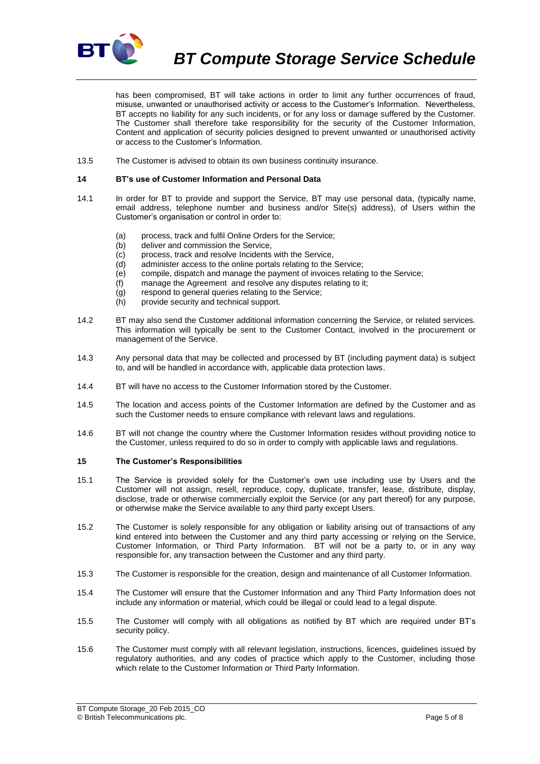

*BT Compute Storage Service Schedule*

has been compromised, BT will take actions in order to limit any further occurrences of fraud, misuse, unwanted or unauthorised activity or access to the Customer's Information. Nevertheless, BT accepts no liability for any such incidents, or for any loss or damage suffered by the Customer. The Customer shall therefore take responsibility for the security of the Customer Information, Content and application of security policies designed to prevent unwanted or unauthorised activity or access to the Customer's Information.

13.5 The Customer is advised to obtain its own business continuity insurance.

#### **14 BT's use of Customer Information and Personal Data**

- 14.1 In order for BT to provide and support the Service, BT may use personal data, (typically name, email address, telephone number and business and/or Site(s) address), of Users within the Customer's organisation or control in order to:
	- (a) process, track and fulfil Online Orders for the Service;
	- (b) deliver and commission the Service,
	- (c) process, track and resolve Incidents with the Service,
	- (d) administer access to the online portals relating to the Service;
	- (e) compile, dispatch and manage the payment of invoices relating to the Service;
	- (f) manage the Agreement and resolve any disputes relating to it;
	- (g) respond to general queries relating to the Service;
	- (h) provide security and technical support.
- 14.2 BT may also send the Customer additional information concerning the Service, or related services. This information will typically be sent to the Customer Contact, involved in the procurement or management of the Service.
- 14.3 Any personal data that may be collected and processed by BT (including payment data) is subject to, and will be handled in accordance with, applicable data protection laws.
- 14.4 BT will have no access to the Customer Information stored by the Customer.
- 14.5 The location and access points of the Customer Information are defined by the Customer and as such the Customer needs to ensure compliance with relevant laws and regulations.
- 14.6 BT will not change the country where the Customer Information resides without providing notice to the Customer, unless required to do so in order to comply with applicable laws and regulations.

#### <span id="page-4-0"></span>**15 The Customer's Responsibilities**

- 15.1 The Service is provided solely for the Customer's own use including use by Users and the Customer will not assign, resell, reproduce, copy, duplicate, transfer, lease, distribute, display, disclose, trade or otherwise commercially exploit the Service (or any part thereof) for any purpose, or otherwise make the Service available to any third party except Users.
- 15.2 The Customer is solely responsible for any obligation or liability arising out of transactions of any kind entered into between the Customer and any third party accessing or relying on the Service, Customer Information, or Third Party Information. BT will not be a party to, or in any way responsible for, any transaction between the Customer and any third party.
- 15.3 The Customer is responsible for the creation, design and maintenance of all Customer Information.
- 15.4 The Customer will ensure that the Customer Information and any Third Party Information does not include any information or material, which could be illegal or could lead to a legal dispute.
- 15.5 The Customer will comply with all obligations as notified by BT which are required under BT's security policy.
- 15.6 The Customer must comply with all relevant legislation, instructions, licences, guidelines issued by regulatory authorities, and any codes of practice which apply to the Customer, including those which relate to the Customer Information or Third Party Information.

BT Compute Storage\_20 Feb 2015\_CO © British Telecommunications plc. Page 5 of 8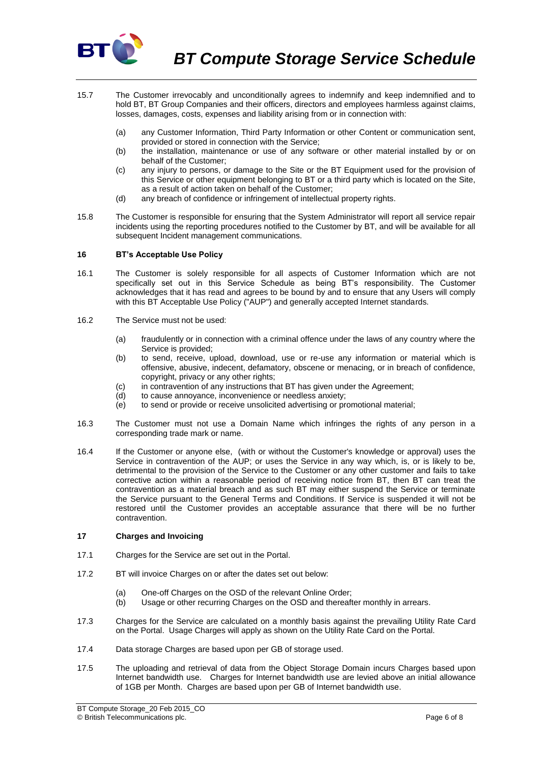

- 15.7 The Customer irrevocably and unconditionally agrees to indemnify and keep indemnified and to hold BT, BT Group Companies and their officers, directors and employees harmless against claims, losses, damages, costs, expenses and liability arising from or in connection with:
	- (a) any Customer Information, Third Party Information or other Content or communication sent, provided or stored in connection with the Service;
	- (b) the installation, maintenance or use of any software or other material installed by or on behalf of the Customer;
	- (c) any injury to persons, or damage to the Site or the BT Equipment used for the provision of this Service or other equipment belonging to BT or a third party which is located on the Site, as a result of action taken on behalf of the Customer;
	- (d) any breach of confidence or infringement of intellectual property rights.
- 15.8 The Customer is responsible for ensuring that the System Administrator will report all service repair incidents using the reporting procedures notified to the Customer by BT, and will be available for all subsequent Incident management communications.

# **16 BT's Acceptable Use Policy**

- 16.1 The Customer is solely responsible for all aspects of Customer Information which are not specifically set out in this Service Schedule as being BT's responsibility. The Customer acknowledges that it has read and agrees to be bound by and to ensure that any Users will comply with this BT Acceptable Use Policy ("AUP") and generally accepted Internet standards.
- 16.2 The Service must not be used:
	- (a) fraudulently or in connection with a criminal offence under the laws of any country where the Service is provided;
	- (b) to send, receive, upload, download, use or re-use any information or material which is offensive, abusive, indecent, defamatory, obscene or menacing, or in breach of confidence, copyright, privacy or any other rights;
	- (c) in contravention of any instructions that BT has given under the Agreement;
	- (d) to cause annoyance, inconvenience or needless anxiety;
	- $\overrightarrow{e}$  to send or provide or receive unsolicited advertising or promotional material;
- 16.3 The Customer must not use a Domain Name which infringes the rights of any person in a corresponding trade mark or name.
- 16.4 If the Customer or anyone else, (with or without the Customer's knowledge or approval) uses the Service in contravention of the AUP; or uses the Service in any way which, is, or is likely to be, detrimental to the provision of the Service to the Customer or any other customer and fails to take corrective action within a reasonable period of receiving notice from BT, then BT can treat the contravention as a material breach and as such BT may either suspend the Service or terminate the Service pursuant to the General Terms and Conditions. If Service is suspended it will not be restored until the Customer provides an acceptable assurance that there will be no further contravention.

## **17 Charges and Invoicing**

- 17.1 Charges for the Service are set out in the Portal.
- 17.2 BT will invoice Charges on or after the dates set out below:
	- (a) One-off Charges on the OSD of the relevant Online Order;
	- (b) Usage or other recurring Charges on the OSD and thereafter monthly in arrears.
- 17.3 Charges for the Service are calculated on a monthly basis against the prevailing Utility Rate Card on the Portal. Usage Charges will apply as shown on the Utility Rate Card on the Portal.
- 17.4 Data storage Charges are based upon per GB of storage used.
- 17.5 The uploading and retrieval of data from the Object Storage Domain incurs Charges based upon Internet bandwidth use. Charges for Internet bandwidth use are levied above an initial allowance of 1GB per Month. Charges are based upon per GB of Internet bandwidth use.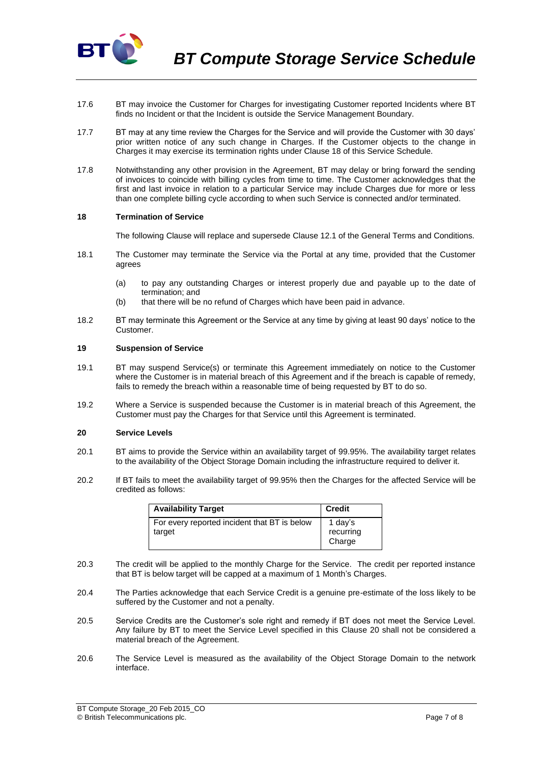

- 17.6 BT may invoice the Customer for Charges for investigating Customer reported Incidents where BT finds no Incident or that the Incident is outside the Service Management Boundary.
- 17.7 BT may at any time review the Charges for the Service and will provide the Customer with 30 days' prior written notice of any such change in Charges. If the Customer objects to the change in Charges it may exercise its termination rights under Clause 18 of this Service Schedule.
- 17.8 Notwithstanding any other provision in the Agreement, BT may delay or bring forward the sending of invoices to coincide with billing cycles from time to time. The Customer acknowledges that the first and last invoice in relation to a particular Service may include Charges due for more or less than one complete billing cycle according to when such Service is connected and/or terminated.

## **18 Termination of Service**

The following Clause will replace and supersede Clause 12.1 of the General Terms and Conditions.

- 18.1 The Customer may terminate the Service via the Portal at any time, provided that the Customer agrees
	- (a) to pay any outstanding Charges or interest properly due and payable up to the date of termination; and
	- (b) that there will be no refund of Charges which have been paid in advance.
- 18.2 BT may terminate this Agreement or the Service at any time by giving at least 90 days' notice to the Customer.

#### **19 Suspension of Service**

- 19.1 BT may suspend Service(s) or terminate this Agreement immediately on notice to the Customer where the Customer is in material breach of this Agreement and if the breach is capable of remedy, fails to remedy the breach within a reasonable time of being requested by BT to do so.
- 19.2 Where a Service is suspended because the Customer is in material breach of this Agreement, the Customer must pay the Charges for that Service until this Agreement is terminated.

## <span id="page-6-0"></span>**20 Service Levels**

- 20.1 BT aims to provide the Service within an availability target of 99.95%. The availability target relates to the availability of the Object Storage Domain including the infrastructure required to deliver it.
- 20.2 If BT fails to meet the availability target of 99.95% then the Charges for the affected Service will be credited as follows:

| <b>Availability Target</b>                             | <b>Credit</b>                  |
|--------------------------------------------------------|--------------------------------|
| For every reported incident that BT is below<br>target | 1 day's<br>recurring<br>Charge |

- 20.3 The credit will be applied to the monthly Charge for the Service. The credit per reported instance that BT is below target will be capped at a maximum of 1 Month's Charges.
- 20.4 The Parties acknowledge that each Service Credit is a genuine pre-estimate of the loss likely to be suffered by the Customer and not a penalty.
- 20.5 Service Credits are the Customer's sole right and remedy if BT does not meet the Service Level. Any failure by BT to meet the Service Level specified in this Clause [20](#page-6-0) shall not be considered a material breach of the Agreement.
- 20.6 The Service Level is measured as the availability of the Object Storage Domain to the network interface.